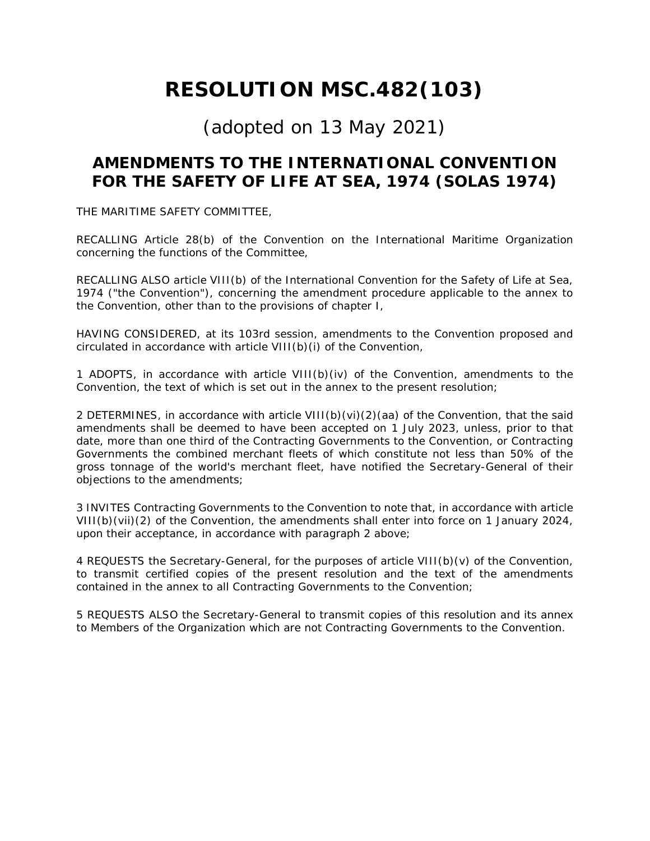# **RESOLUTION MSC.482(103)**

# (adopted on 13 May 2021)

## **AMENDMENTS TO THE INTERNATIONAL CONVENTION FOR THE SAFETY OF LIFE AT SEA, 1974 (SOLAS 1974)**

THE MARITIME SAFETY COMMITTEE,

RECALLING Article 28(b) of the Convention on the International Maritime Organization concerning the functions of the Committee,

RECALLING ALSO article VIII(b) of the International Convention for the Safety of Life at Sea, 1974 ("the Convention"), concerning the amendment procedure applicable to the annex to the Convention, other than to the provisions of chapter I,

HAVING CONSIDERED, at its 103rd session, amendments to the Convention proposed and circulated in accordance with article VIII(b)(i) of the Convention,

1 ADOPTS, in accordance with article VIII(b)(iv) of the Convention, amendments to the Convention, the text of which is set out in the annex to the present resolution;

2 DETERMINES, in accordance with article VIII(b)(vi)(2)(aa) of the Convention, that the said amendments shall be deemed to have been accepted on 1 July 2023, unless, prior to that date, more than one third of the Contracting Governments to the Convention, or Contracting Governments the combined merchant fleets of which constitute not less than 50% of the gross tonnage of the world's merchant fleet, have notified the Secretary-General of their objections to the amendments;

3 INVITES Contracting Governments to the Convention to note that, in accordance with article VIII(b)(vii)(2) of the Convention, the amendments shall enter into force on 1 January 2024, upon their acceptance, in accordance with paragraph 2 above;

4 REQUESTS the Secretary-General, for the purposes of article VIII(b)(v) of the Convention, to transmit certified copies of the present resolution and the text of the amendments contained in the annex to all Contracting Governments to the Convention;

5 REQUESTS ALSO the Secretary-General to transmit copies of this resolution and its annex to Members of the Organization which are not Contracting Governments to the Convention.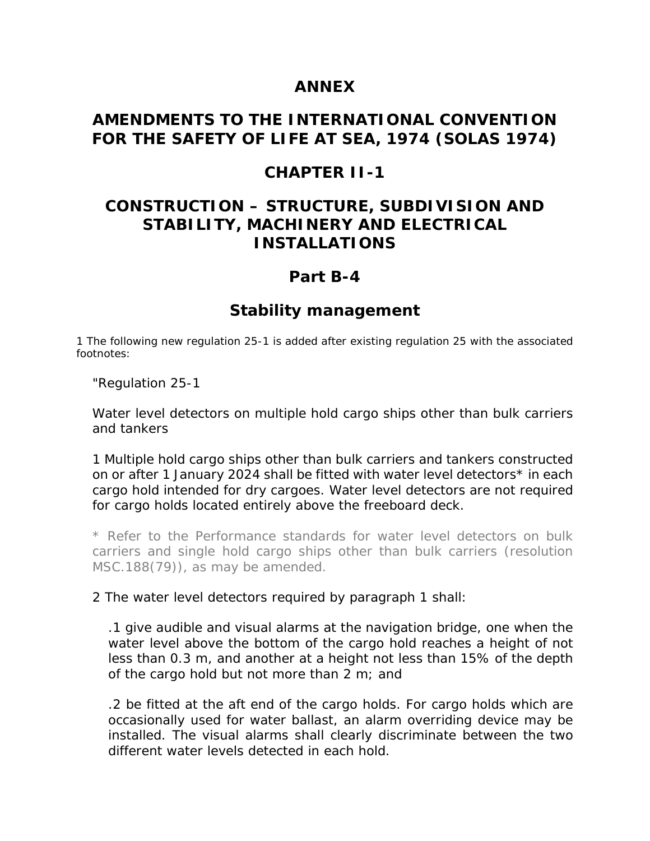#### **ANNEX**

#### **AMENDMENTS TO THE INTERNATIONAL CONVENTION FOR THE SAFETY OF LIFE AT SEA, 1974 (SOLAS 1974)**

#### **CHAPTER II-1**

#### **CONSTRUCTION – STRUCTURE, SUBDIVISION AND STABILITY, MACHINERY AND ELECTRICAL INSTALLATIONS**

#### **Part B-4**

#### **Stability management**

1 The following new regulation 25-1 is added after existing regulation 25 with the associated footnotes:

"Regulation 25-1

Water level detectors on multiple hold cargo ships other than bulk carriers and tankers

1 Multiple hold cargo ships other than bulk carriers and tankers constructed on or after 1 January 2024 shall be fitted with water level detectors\* in each cargo hold intended for dry cargoes. Water level detectors are not required for cargo holds located entirely above the freeboard deck.

\* Refer to the Performance standards for water level detectors on bulk carriers and single hold cargo ships other than bulk carriers (resolution MSC.188(79)), as may be amended.

2 The water level detectors required by paragraph 1 shall:

.1 give audible and visual alarms at the navigation bridge, one when the water level above the bottom of the cargo hold reaches a height of not less than 0.3 m, and another at a height not less than 15% of the depth of the cargo hold but not more than 2 m; and

.2 be fitted at the aft end of the cargo holds. For cargo holds which are occasionally used for water ballast, an alarm overriding device may be installed. The visual alarms shall clearly discriminate between the two different water levels detected in each hold.